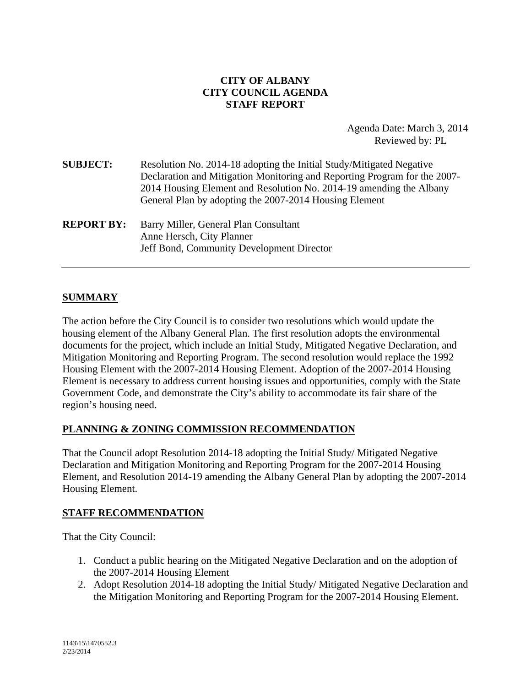### **CITY OF ALBANY CITY COUNCIL AGENDA STAFF REPORT**

Agenda Date: March 3, 2014 Reviewed by: PL

| <b>SUBJECT:</b>   | Resolution No. 2014-18 adopting the Initial Study/Mitigated Negative<br>Declaration and Mitigation Monitoring and Reporting Program for the 2007-<br>2014 Housing Element and Resolution No. 2014-19 amending the Albany<br>General Plan by adopting the 2007-2014 Housing Element |
|-------------------|------------------------------------------------------------------------------------------------------------------------------------------------------------------------------------------------------------------------------------------------------------------------------------|
| <b>REPORT BY:</b> | Barry Miller, General Plan Consultant<br>Anne Hersch, City Planner<br>Jeff Bond, Community Development Director                                                                                                                                                                    |

### **SUMMARY**

The action before the City Council is to consider two resolutions which would update the housing element of the Albany General Plan. The first resolution adopts the environmental documents for the project, which include an Initial Study, Mitigated Negative Declaration, and Mitigation Monitoring and Reporting Program. The second resolution would replace the 1992 Housing Element with the 2007-2014 Housing Element. Adoption of the 2007-2014 Housing Element is necessary to address current housing issues and opportunities, comply with the State Government Code, and demonstrate the City's ability to accommodate its fair share of the region's housing need.

### **PLANNING & ZONING COMMISSION RECOMMENDATION**

That the Council adopt Resolution 2014-18 adopting the Initial Study/ Mitigated Negative Declaration and Mitigation Monitoring and Reporting Program for the 2007-2014 Housing Element, and Resolution 2014-19 amending the Albany General Plan by adopting the 2007-2014 Housing Element.

#### **STAFF RECOMMENDATION**

That the City Council:

- 1. Conduct a public hearing on the Mitigated Negative Declaration and on the adoption of the 2007-2014 Housing Element
- 2. Adopt Resolution 2014-18 adopting the Initial Study/ Mitigated Negative Declaration and the Mitigation Monitoring and Reporting Program for the 2007-2014 Housing Element.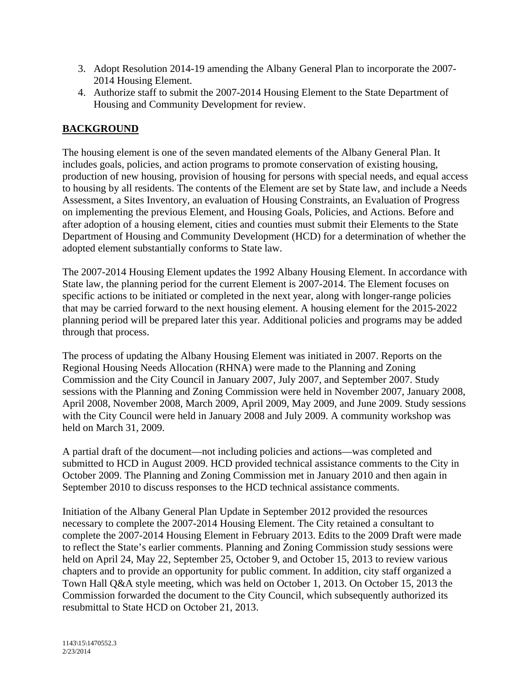- 3. Adopt Resolution 2014-19 amending the Albany General Plan to incorporate the 2007- 2014 Housing Element.
- 4. Authorize staff to submit the 2007-2014 Housing Element to the State Department of Housing and Community Development for review.

## **BACKGROUND**

The housing element is one of the seven mandated elements of the Albany General Plan. It includes goals, policies, and action programs to promote conservation of existing housing, production of new housing, provision of housing for persons with special needs, and equal access to housing by all residents. The contents of the Element are set by State law, and include a Needs Assessment, a Sites Inventory, an evaluation of Housing Constraints, an Evaluation of Progress on implementing the previous Element, and Housing Goals, Policies, and Actions. Before and after adoption of a housing element, cities and counties must submit their Elements to the State Department of Housing and Community Development (HCD) for a determination of whether the adopted element substantially conforms to State law.

The 2007-2014 Housing Element updates the 1992 Albany Housing Element. In accordance with State law, the planning period for the current Element is 2007-2014. The Element focuses on specific actions to be initiated or completed in the next year, along with longer-range policies that may be carried forward to the next housing element. A housing element for the 2015-2022 planning period will be prepared later this year. Additional policies and programs may be added through that process.

The process of updating the Albany Housing Element was initiated in 2007. Reports on the Regional Housing Needs Allocation (RHNA) were made to the Planning and Zoning Commission and the City Council in January 2007, July 2007, and September 2007. Study sessions with the Planning and Zoning Commission were held in November 2007, January 2008, April 2008, November 2008, March 2009, April 2009, May 2009, and June 2009. Study sessions with the City Council were held in January 2008 and July 2009. A community workshop was held on March 31, 2009.

A partial draft of the document—not including policies and actions—was completed and submitted to HCD in August 2009. HCD provided technical assistance comments to the City in October 2009. The Planning and Zoning Commission met in January 2010 and then again in September 2010 to discuss responses to the HCD technical assistance comments.

Initiation of the Albany General Plan Update in September 2012 provided the resources necessary to complete the 2007-2014 Housing Element. The City retained a consultant to complete the 2007-2014 Housing Element in February 2013. Edits to the 2009 Draft were made to reflect the State's earlier comments. Planning and Zoning Commission study sessions were held on April 24, May 22, September 25, October 9, and October 15, 2013 to review various chapters and to provide an opportunity for public comment. In addition, city staff organized a Town Hall Q&A style meeting, which was held on October 1, 2013. On October 15, 2013 the Commission forwarded the document to the City Council, which subsequently authorized its resubmittal to State HCD on October 21, 2013.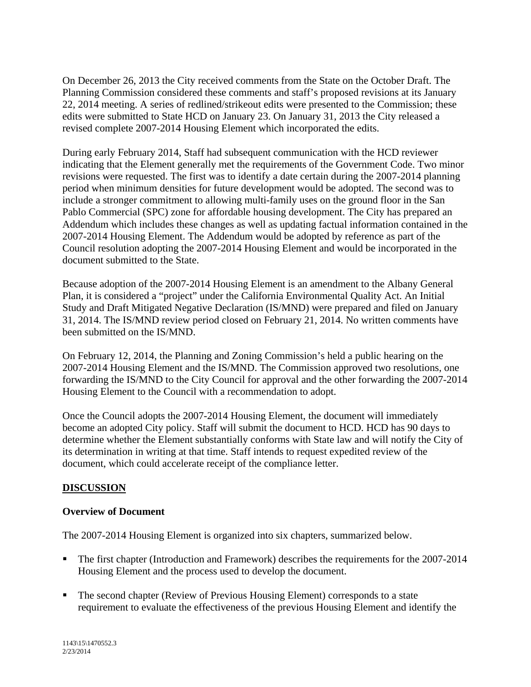On December 26, 2013 the City received comments from the State on the October Draft. The Planning Commission considered these comments and staff's proposed revisions at its January 22, 2014 meeting. A series of redlined/strikeout edits were presented to the Commission; these edits were submitted to State HCD on January 23. On January 31, 2013 the City released a revised complete 2007-2014 Housing Element which incorporated the edits.

During early February 2014, Staff had subsequent communication with the HCD reviewer indicating that the Element generally met the requirements of the Government Code. Two minor revisions were requested. The first was to identify a date certain during the 2007-2014 planning period when minimum densities for future development would be adopted. The second was to include a stronger commitment to allowing multi-family uses on the ground floor in the San Pablo Commercial (SPC) zone for affordable housing development. The City has prepared an Addendum which includes these changes as well as updating factual information contained in the 2007-2014 Housing Element. The Addendum would be adopted by reference as part of the Council resolution adopting the 2007-2014 Housing Element and would be incorporated in the document submitted to the State.

Because adoption of the 2007-2014 Housing Element is an amendment to the Albany General Plan, it is considered a "project" under the California Environmental Quality Act. An Initial Study and Draft Mitigated Negative Declaration (IS/MND) were prepared and filed on January 31, 2014. The IS/MND review period closed on February 21, 2014. No written comments have been submitted on the IS/MND.

On February 12, 2014, the Planning and Zoning Commission's held a public hearing on the 2007-2014 Housing Element and the IS/MND. The Commission approved two resolutions, one forwarding the IS/MND to the City Council for approval and the other forwarding the 2007-2014 Housing Element to the Council with a recommendation to adopt.

Once the Council adopts the 2007-2014 Housing Element, the document will immediately become an adopted City policy. Staff will submit the document to HCD. HCD has 90 days to determine whether the Element substantially conforms with State law and will notify the City of its determination in writing at that time. Staff intends to request expedited review of the document, which could accelerate receipt of the compliance letter.

### **DISCUSSION**

### **Overview of Document**

The 2007-2014 Housing Element is organized into six chapters, summarized below.

- The first chapter (Introduction and Framework) describes the requirements for the 2007-2014 Housing Element and the process used to develop the document.
- The second chapter (Review of Previous Housing Element) corresponds to a state requirement to evaluate the effectiveness of the previous Housing Element and identify the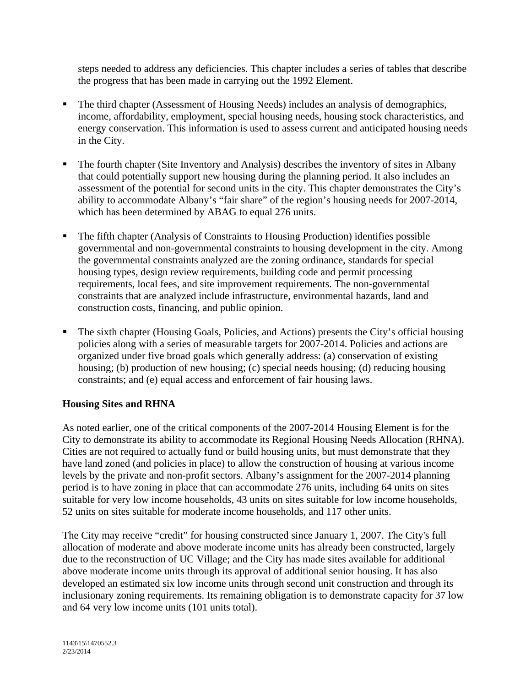steps needed to address any deficiencies. This chapter includes a series of tables that describe the progress that has been made in carrying out the 1992 Element.

- The third chapter (Assessment of Housing Needs) includes an analysis of demographics, income, affordability, employment, special housing needs, housing stock characteristics, and energy conservation. This information is used to assess current and anticipated housing needs in the City.
- The fourth chapter (Site Inventory and Analysis) describes the inventory of sites in Albany that could potentially support new housing during the planning period. It also includes an assessment of the potential for second units in the city. This chapter demonstrates the City's ability to accommodate Albany's "fair share" of the region's housing needs for 2007-2014, which has been determined by ABAG to equal 276 units.
- The fifth chapter (Analysis of Constraints to Housing Production) identifies possible governmental and non-governmental constraints to housing development in the city. Among the governmental constraints analyzed are the zoning ordinance, standards for special housing types, design review requirements, building code and permit processing requirements, local fees, and site improvement requirements. The non-governmental constraints that are analyzed include infrastructure, environmental hazards, land and construction costs, financing, and public opinion.
- The sixth chapter (Housing Goals, Policies, and Actions) presents the City's official housing policies along with a series of measurable targets for 2007-2014. Policies and actions are organized under five broad goals which generally address: (a) conservation of existing housing; (b) production of new housing; (c) special needs housing; (d) reducing housing constraints; and (e) equal access and enforcement of fair housing laws.

### **Housing Sites and RHNA**

As noted earlier, one of the critical components of the 2007-2014 Housing Element is for the City to demonstrate its ability to accommodate its Regional Housing Needs Allocation (RHNA). Cities are not required to actually fund or build housing units, but must demonstrate that they have land zoned (and policies in place) to allow the construction of housing at various income levels by the private and non-profit sectors. Albany's assignment for the 2007-2014 planning period is to have zoning in place that can accommodate 276 units, including 64 units on sites suitable for very low income households, 43 units on sites suitable for low income households, 52 units on sites suitable for moderate income households, and 117 other units.

The City may receive "credit" for housing constructed since January 1, 2007. The City's full allocation of moderate and above moderate income units has already been constructed, largely due to the reconstruction of UC Village; and the City has made sites available for additional above moderate income units through its approval of additional senior housing. It has also developed an estimated six low income units through second unit construction and through its inclusionary zoning requirements. Its remaining obligation is to demonstrate capacity for 37 low and 64 very low income units (101 units total).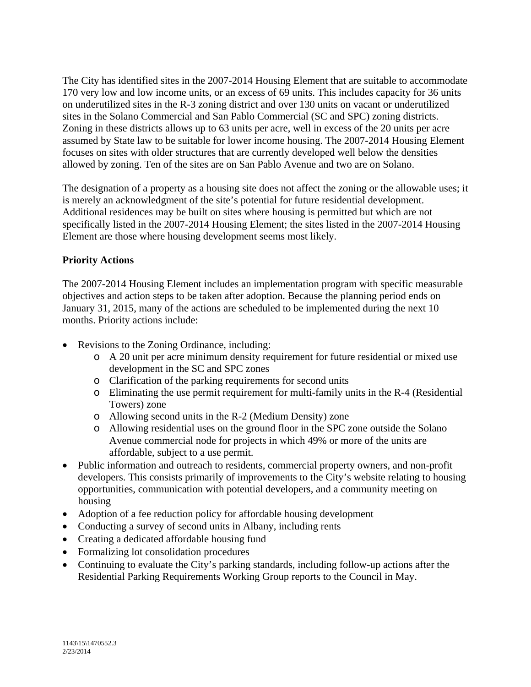The City has identified sites in the 2007-2014 Housing Element that are suitable to accommodate 170 very low and low income units, or an excess of 69 units. This includes capacity for 36 units on underutilized sites in the R-3 zoning district and over 130 units on vacant or underutilized sites in the Solano Commercial and San Pablo Commercial (SC and SPC) zoning districts. Zoning in these districts allows up to 63 units per acre, well in excess of the 20 units per acre assumed by State law to be suitable for lower income housing. The 2007-2014 Housing Element focuses on sites with older structures that are currently developed well below the densities allowed by zoning. Ten of the sites are on San Pablo Avenue and two are on Solano.

The designation of a property as a housing site does not affect the zoning or the allowable uses; it is merely an acknowledgment of the site's potential for future residential development. Additional residences may be built on sites where housing is permitted but which are not specifically listed in the 2007-2014 Housing Element; the sites listed in the 2007-2014 Housing Element are those where housing development seems most likely.

## **Priority Actions**

The 2007-2014 Housing Element includes an implementation program with specific measurable objectives and action steps to be taken after adoption. Because the planning period ends on January 31, 2015, many of the actions are scheduled to be implemented during the next 10 months. Priority actions include:

- Revisions to the Zoning Ordinance, including:
	- o A 20 unit per acre minimum density requirement for future residential or mixed use development in the SC and SPC zones
	- o Clarification of the parking requirements for second units
	- o Eliminating the use permit requirement for multi-family units in the R-4 (Residential Towers) zone
	- o Allowing second units in the R-2 (Medium Density) zone
	- o Allowing residential uses on the ground floor in the SPC zone outside the Solano Avenue commercial node for projects in which 49% or more of the units are affordable, subject to a use permit.
- Public information and outreach to residents, commercial property owners, and non-profit developers. This consists primarily of improvements to the City's website relating to housing opportunities, communication with potential developers, and a community meeting on housing
- Adoption of a fee reduction policy for affordable housing development
- Conducting a survey of second units in Albany, including rents
- Creating a dedicated affordable housing fund
- Formalizing lot consolidation procedures
- Continuing to evaluate the City's parking standards, including follow-up actions after the Residential Parking Requirements Working Group reports to the Council in May.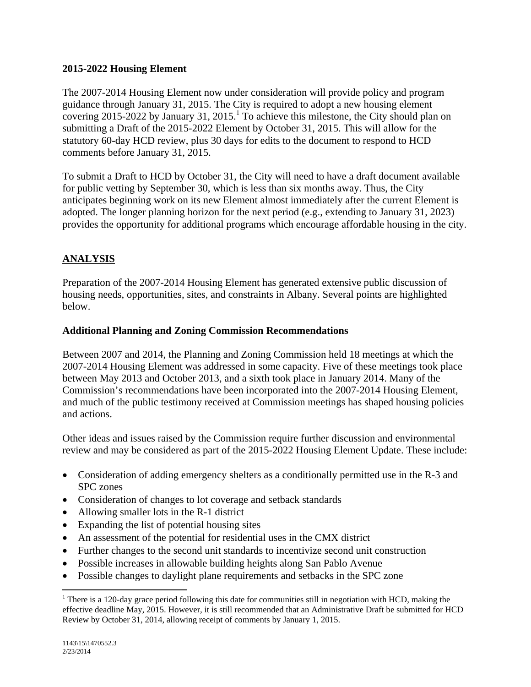### **2015-2022 Housing Element**

The 2007-2014 Housing Element now under consideration will provide policy and program guidance through January 31, 2015. The City is required to adopt a new housing element covering 2015-2022 by January 31, 2015.<sup>1</sup> To achieve this milestone, the City should plan on submitting a Draft of the 2015-2022 Element by October 31, 2015. This will allow for the statutory 60-day HCD review, plus 30 days for edits to the document to respond to HCD comments before January 31, 2015.

To submit a Draft to HCD by October 31, the City will need to have a draft document available for public vetting by September 30, which is less than six months away. Thus, the City anticipates beginning work on its new Element almost immediately after the current Element is adopted. The longer planning horizon for the next period (e.g., extending to January 31, 2023) provides the opportunity for additional programs which encourage affordable housing in the city.

# **ANALYSIS**

Preparation of the 2007-2014 Housing Element has generated extensive public discussion of housing needs, opportunities, sites, and constraints in Albany. Several points are highlighted below.

#### **Additional Planning and Zoning Commission Recommendations**

Between 2007 and 2014, the Planning and Zoning Commission held 18 meetings at which the 2007-2014 Housing Element was addressed in some capacity. Five of these meetings took place between May 2013 and October 2013, and a sixth took place in January 2014. Many of the Commission's recommendations have been incorporated into the 2007-2014 Housing Element, and much of the public testimony received at Commission meetings has shaped housing policies and actions.

Other ideas and issues raised by the Commission require further discussion and environmental review and may be considered as part of the 2015-2022 Housing Element Update. These include:

- Consideration of adding emergency shelters as a conditionally permitted use in the R-3 and SPC zones
- Consideration of changes to lot coverage and setback standards
- Allowing smaller lots in the R-1 district

- Expanding the list of potential housing sites
- An assessment of the potential for residential uses in the CMX district
- Further changes to the second unit standards to incentivize second unit construction
- Possible increases in allowable building heights along San Pablo Avenue
- Possible changes to daylight plane requirements and setbacks in the SPC zone

<sup>&</sup>lt;sup>1</sup> There is a 120-day grace period following this date for communities still in negotiation with HCD, making the effective deadline May, 2015. However, it is still recommended that an Administrative Draft be submitted for HCD Review by October 31, 2014, allowing receipt of comments by January 1, 2015.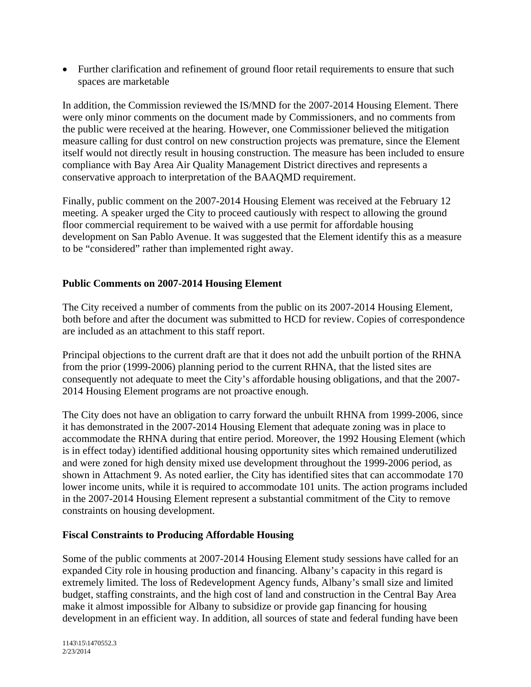Further clarification and refinement of ground floor retail requirements to ensure that such spaces are marketable

In addition, the Commission reviewed the IS/MND for the 2007-2014 Housing Element. There were only minor comments on the document made by Commissioners, and no comments from the public were received at the hearing. However, one Commissioner believed the mitigation measure calling for dust control on new construction projects was premature, since the Element itself would not directly result in housing construction. The measure has been included to ensure compliance with Bay Area Air Quality Management District directives and represents a conservative approach to interpretation of the BAAQMD requirement.

Finally, public comment on the 2007-2014 Housing Element was received at the February 12 meeting. A speaker urged the City to proceed cautiously with respect to allowing the ground floor commercial requirement to be waived with a use permit for affordable housing development on San Pablo Avenue. It was suggested that the Element identify this as a measure to be "considered" rather than implemented right away.

## **Public Comments on 2007-2014 Housing Element**

The City received a number of comments from the public on its 2007-2014 Housing Element, both before and after the document was submitted to HCD for review. Copies of correspondence are included as an attachment to this staff report.

Principal objections to the current draft are that it does not add the unbuilt portion of the RHNA from the prior (1999-2006) planning period to the current RHNA, that the listed sites are consequently not adequate to meet the City's affordable housing obligations, and that the 2007- 2014 Housing Element programs are not proactive enough.

The City does not have an obligation to carry forward the unbuilt RHNA from 1999-2006, since it has demonstrated in the 2007-2014 Housing Element that adequate zoning was in place to accommodate the RHNA during that entire period. Moreover, the 1992 Housing Element (which is in effect today) identified additional housing opportunity sites which remained underutilized and were zoned for high density mixed use development throughout the 1999-2006 period, as shown in Attachment 9. As noted earlier, the City has identified sites that can accommodate 170 lower income units, while it is required to accommodate 101 units. The action programs included in the 2007-2014 Housing Element represent a substantial commitment of the City to remove constraints on housing development.

### **Fiscal Constraints to Producing Affordable Housing**

Some of the public comments at 2007-2014 Housing Element study sessions have called for an expanded City role in housing production and financing. Albany's capacity in this regard is extremely limited. The loss of Redevelopment Agency funds, Albany's small size and limited budget, staffing constraints, and the high cost of land and construction in the Central Bay Area make it almost impossible for Albany to subsidize or provide gap financing for housing development in an efficient way. In addition, all sources of state and federal funding have been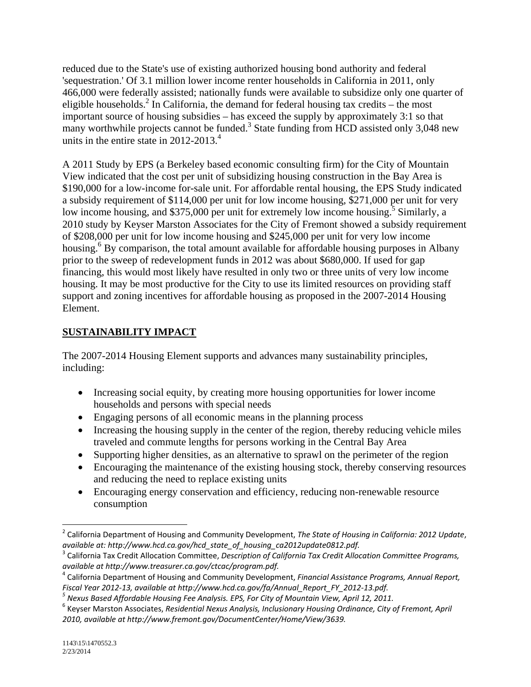reduced due to the State's use of existing authorized housing bond authority and federal 'sequestration.' Of 3.1 million lower income renter households in California in 2011, only 466,000 were federally assisted; nationally funds were available to subsidize only one quarter of eligible households.<sup>2</sup> In California, the demand for federal housing tax credits – the most important source of housing subsidies – has exceed the supply by approximately 3:1 so that many worthwhile projects cannot be funded.<sup>3</sup> State funding from HCD assisted only 3,048 new units in the entire state in 2012-2013.<sup>4</sup>

A 2011 Study by EPS (a Berkeley based economic consulting firm) for the City of Mountain View indicated that the cost per unit of subsidizing housing construction in the Bay Area is \$190,000 for a low-income for-sale unit. For affordable rental housing, the EPS Study indicated a subsidy requirement of \$114,000 per unit for low income housing, \$271,000 per unit for very low income housing, and \$375,000 per unit for extremely low income housing.<sup>5</sup> Similarly, a 2010 study by Keyser Marston Associates for the City of Fremont showed a subsidy requirement of \$208,000 per unit for low income housing and \$245,000 per unit for very low income housing.<sup>6</sup> By comparison, the total amount available for affordable housing purposes in Albany prior to the sweep of redevelopment funds in 2012 was about \$680,000. If used for gap financing, this would most likely have resulted in only two or three units of very low income housing. It may be most productive for the City to use its limited resources on providing staff support and zoning incentives for affordable housing as proposed in the 2007-2014 Housing Element.

# **SUSTAINABILITY IMPACT**

The 2007-2014 Housing Element supports and advances many sustainability principles, including:

- Increasing social equity, by creating more housing opportunities for lower income households and persons with special needs
- Engaging persons of all economic means in the planning process
- Increasing the housing supply in the center of the region, thereby reducing vehicle miles traveled and commute lengths for persons working in the Central Bay Area
- Supporting higher densities, as an alternative to sprawl on the perimeter of the region
- Encouraging the maintenance of the existing housing stock, thereby conserving resources and reducing the need to replace existing units
- Encouraging energy conservation and efficiency, reducing non-renewable resource consumption

 <sup>2</sup> California Department of Housing and Community Development, *The State of Housing in California: 2012 Update*,

<sup>&</sup>lt;sup>3</sup> California Tax Credit Allocation Committee, Description of California Tax Credit Allocation Committee Programs, available at http://www.treasurer.ca.gov/ctcac/program.pdf.<br><sup>4</sup> California Department of Housing and Community Development, Financial Assistance Programs, Annual Report,

Fiscal Year 2012-13, available at http://www.hcd.ca.gov/fa/Annual\_Report\_FY\_2012-13.pdf.<br><sup>5</sup> Nexus Based Affordable Housing Fee Analysis. EPS, For City of Mountain View, April 12, 2011.<br><sup>6</sup> Kevser Marston Associates, Resid *2010, available at http://www.fremont.gov/DocumentCenter/Home/View/3639.*